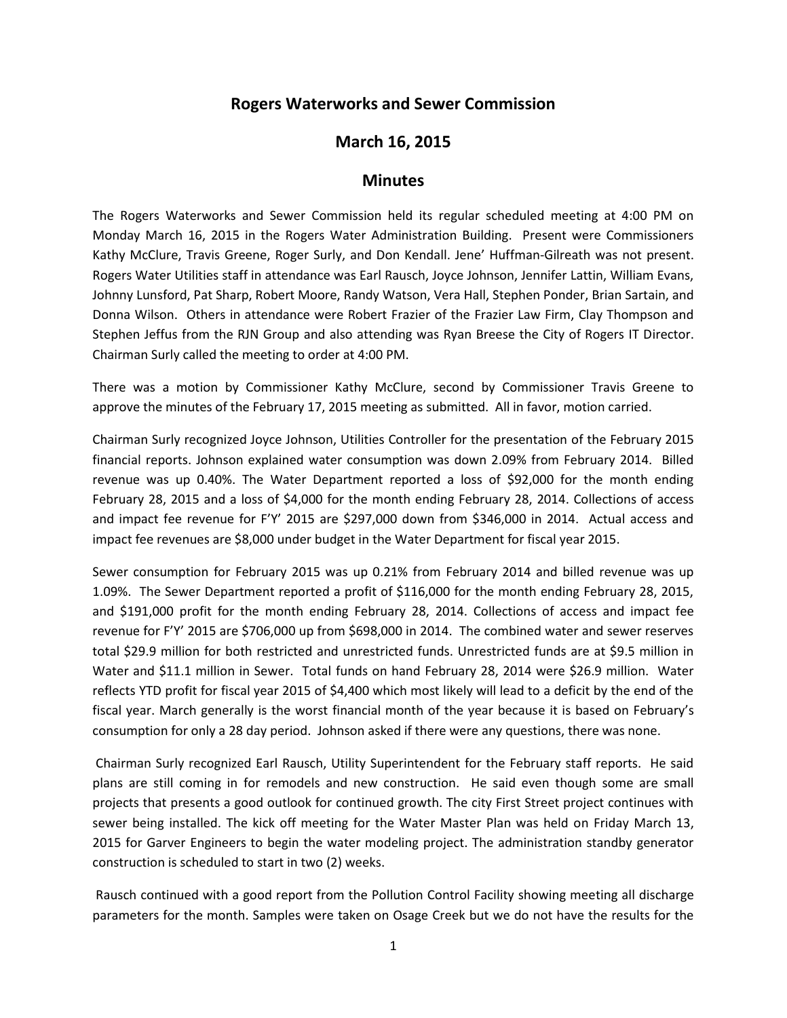## **Rogers Waterworks and Sewer Commission**

## **March 16, 2015**

## **Minutes**

The Rogers Waterworks and Sewer Commission held its regular scheduled meeting at 4:00 PM on Monday March 16, 2015 in the Rogers Water Administration Building. Present were Commissioners Kathy McClure, Travis Greene, Roger Surly, and Don Kendall. Jene' Huffman-Gilreath was not present. Rogers Water Utilities staff in attendance was Earl Rausch, Joyce Johnson, Jennifer Lattin, William Evans, Johnny Lunsford, Pat Sharp, Robert Moore, Randy Watson, Vera Hall, Stephen Ponder, Brian Sartain, and Donna Wilson. Others in attendance were Robert Frazier of the Frazier Law Firm, Clay Thompson and Stephen Jeffus from the RJN Group and also attending was Ryan Breese the City of Rogers IT Director. Chairman Surly called the meeting to order at 4:00 PM.

There was a motion by Commissioner Kathy McClure, second by Commissioner Travis Greene to approve the minutes of the February 17, 2015 meeting as submitted. All in favor, motion carried.

Chairman Surly recognized Joyce Johnson, Utilities Controller for the presentation of the February 2015 financial reports. Johnson explained water consumption was down 2.09% from February 2014. Billed revenue was up 0.40%. The Water Department reported a loss of \$92,000 for the month ending February 28, 2015 and a loss of \$4,000 for the month ending February 28, 2014. Collections of access and impact fee revenue for F'Y' 2015 are \$297,000 down from \$346,000 in 2014. Actual access and impact fee revenues are \$8,000 under budget in the Water Department for fiscal year 2015.

Sewer consumption for February 2015 was up 0.21% from February 2014 and billed revenue was up 1.09%. The Sewer Department reported a profit of \$116,000 for the month ending February 28, 2015, and \$191,000 profit for the month ending February 28, 2014. Collections of access and impact fee revenue for F'Y' 2015 are \$706,000 up from \$698,000 in 2014. The combined water and sewer reserves total \$29.9 million for both restricted and unrestricted funds. Unrestricted funds are at \$9.5 million in Water and \$11.1 million in Sewer. Total funds on hand February 28, 2014 were \$26.9 million. Water reflects YTD profit for fiscal year 2015 of \$4,400 which most likely will lead to a deficit by the end of the fiscal year. March generally is the worst financial month of the year because it is based on February's consumption for only a 28 day period. Johnson asked if there were any questions, there was none.

Chairman Surly recognized Earl Rausch, Utility Superintendent for the February staff reports. He said plans are still coming in for remodels and new construction. He said even though some are small projects that presents a good outlook for continued growth. The city First Street project continues with sewer being installed. The kick off meeting for the Water Master Plan was held on Friday March 13, 2015 for Garver Engineers to begin the water modeling project. The administration standby generator construction is scheduled to start in two (2) weeks.

Rausch continued with a good report from the Pollution Control Facility showing meeting all discharge parameters for the month. Samples were taken on Osage Creek but we do not have the results for the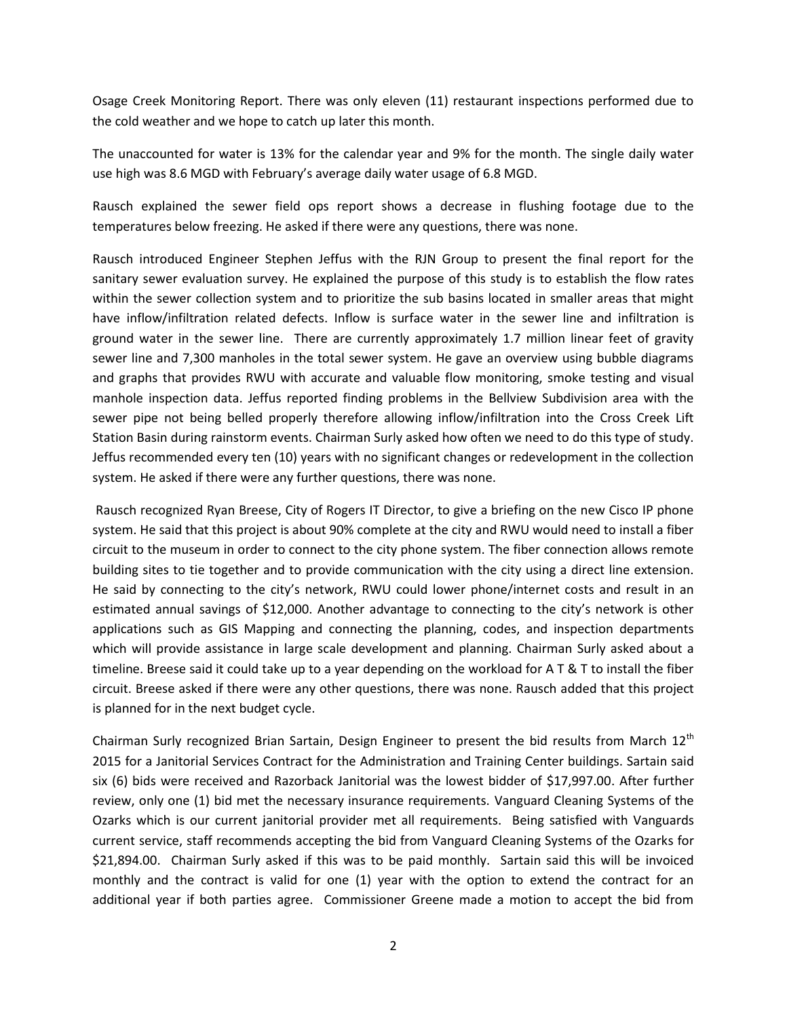Osage Creek Monitoring Report. There was only eleven (11) restaurant inspections performed due to the cold weather and we hope to catch up later this month.

The unaccounted for water is 13% for the calendar year and 9% for the month. The single daily water use high was 8.6 MGD with February's average daily water usage of 6.8 MGD.

Rausch explained the sewer field ops report shows a decrease in flushing footage due to the temperatures below freezing. He asked if there were any questions, there was none.

Rausch introduced Engineer Stephen Jeffus with the RJN Group to present the final report for the sanitary sewer evaluation survey. He explained the purpose of this study is to establish the flow rates within the sewer collection system and to prioritize the sub basins located in smaller areas that might have inflow/infiltration related defects. Inflow is surface water in the sewer line and infiltration is ground water in the sewer line. There are currently approximately 1.7 million linear feet of gravity sewer line and 7,300 manholes in the total sewer system. He gave an overview using bubble diagrams and graphs that provides RWU with accurate and valuable flow monitoring, smoke testing and visual manhole inspection data. Jeffus reported finding problems in the Bellview Subdivision area with the sewer pipe not being belled properly therefore allowing inflow/infiltration into the Cross Creek Lift Station Basin during rainstorm events. Chairman Surly asked how often we need to do this type of study. Jeffus recommended every ten (10) years with no significant changes or redevelopment in the collection system. He asked if there were any further questions, there was none.

Rausch recognized Ryan Breese, City of Rogers IT Director, to give a briefing on the new Cisco IP phone system. He said that this project is about 90% complete at the city and RWU would need to install a fiber circuit to the museum in order to connect to the city phone system. The fiber connection allows remote building sites to tie together and to provide communication with the city using a direct line extension. He said by connecting to the city's network, RWU could lower phone/internet costs and result in an estimated annual savings of \$12,000. Another advantage to connecting to the city's network is other applications such as GIS Mapping and connecting the planning, codes, and inspection departments which will provide assistance in large scale development and planning. Chairman Surly asked about a timeline. Breese said it could take up to a year depending on the workload for A T & T to install the fiber circuit. Breese asked if there were any other questions, there was none. Rausch added that this project is planned for in the next budget cycle.

Chairman Surly recognized Brian Sartain, Design Engineer to present the bid results from March 12<sup>th</sup> 2015 for a Janitorial Services Contract for the Administration and Training Center buildings. Sartain said six (6) bids were received and Razorback Janitorial was the lowest bidder of \$17,997.00. After further review, only one (1) bid met the necessary insurance requirements. Vanguard Cleaning Systems of the Ozarks which is our current janitorial provider met all requirements. Being satisfied with Vanguards current service, staff recommends accepting the bid from Vanguard Cleaning Systems of the Ozarks for \$21,894.00. Chairman Surly asked if this was to be paid monthly. Sartain said this will be invoiced monthly and the contract is valid for one (1) year with the option to extend the contract for an additional year if both parties agree. Commissioner Greene made a motion to accept the bid from